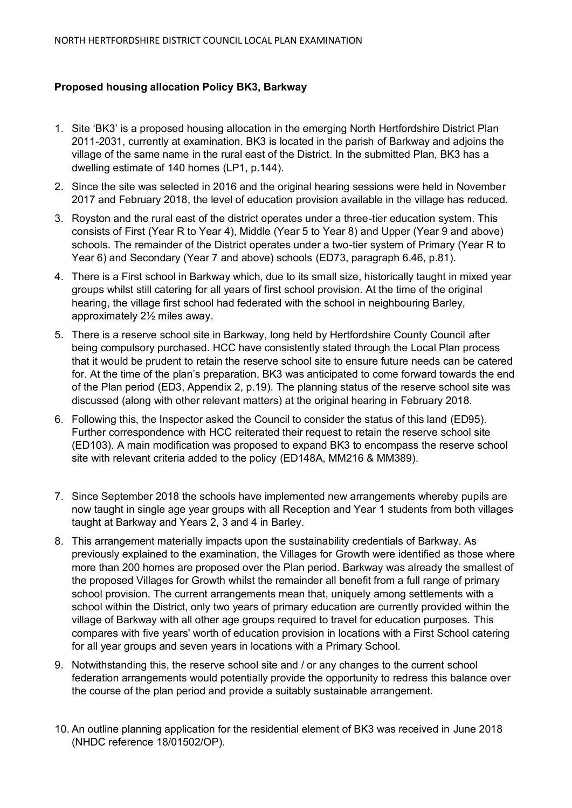## **Proposed housing allocation Policy BK3, Barkway**

- 1. Site 'BK3' is a proposed housing allocation in the emerging North Hertfordshire District Plan 2011-2031, currently at examination. BK3 is located in the parish of Barkway and adjoins the village of the same name in the rural east of the District. In the submitted Plan, BK3 has a dwelling estimate of 140 homes (LP1, p.144).
- 2. Since the site was selected in 2016 and the original hearing sessions were held in November 2017 and February 2018, the level of education provision available in the village has reduced.
- 3. Royston and the rural east of the district operates under a three-tier education system. This consists of First (Year R to Year 4), Middle (Year 5 to Year 8) and Upper (Year 9 and above) schools. The remainder of the District operates under a two-tier system of Primary (Year R to Year 6) and Secondary (Year 7 and above) schools (ED73, paragraph 6.46, p.81).
- 4. There is a First school in Barkway which, due to its small size, historically taught in mixed year groups whilst still catering for all years of first school provision. At the time of the original hearing, the village first school had federated with the school in neighbouring Barley, approximately 2½ miles away.
- 5. There is a reserve school site in Barkway, long held by Hertfordshire County Council after being compulsory purchased. HCC have consistently stated through the Local Plan process that it would be prudent to retain the reserve school site to ensure future needs can be catered for. At the time of the plan's preparation, BK3 was anticipated to come forward towards the end of the Plan period (ED3, Appendix 2, p.19). The planning status of the reserve school site was discussed (along with other relevant matters) at the original hearing in February 2018.
- 6. Following this, the Inspector asked the Council to consider the status of this land (ED95). Further correspondence with HCC reiterated their request to retain the reserve school site (ED103). A main modification was proposed to expand BK3 to encompass the reserve school site with relevant criteria added to the policy (ED148A, MM216 & MM389).
- 7. Since September 2018 the schools have implemented new arrangements whereby pupils are now taught in single age year groups with all Reception and Year 1 students from both villages taught at Barkway and Years 2, 3 and 4 in Barley.
- 8. This arrangement materially impacts upon the sustainability credentials of Barkway. As previously explained to the examination, the Villages for Growth were identified as those where more than 200 homes are proposed over the Plan period. Barkway was already the smallest of the proposed Villages for Growth whilst the remainder all benefit from a full range of primary school provision. The current arrangements mean that, uniquely among settlements with a school within the District, only two years of primary education are currently provided within the village of Barkway with all other age groups required to travel for education purposes. This compares with five years' worth of education provision in locations with a First School catering for all year groups and seven years in locations with a Primary School.
- 9. Notwithstanding this, the reserve school site and / or any changes to the current school federation arrangements would potentially provide the opportunity to redress this balance over the course of the plan period and provide a suitably sustainable arrangement.
- 10. An outline planning application for the residential element of BK3 was received in June 2018 (NHDC reference 18/01502/OP).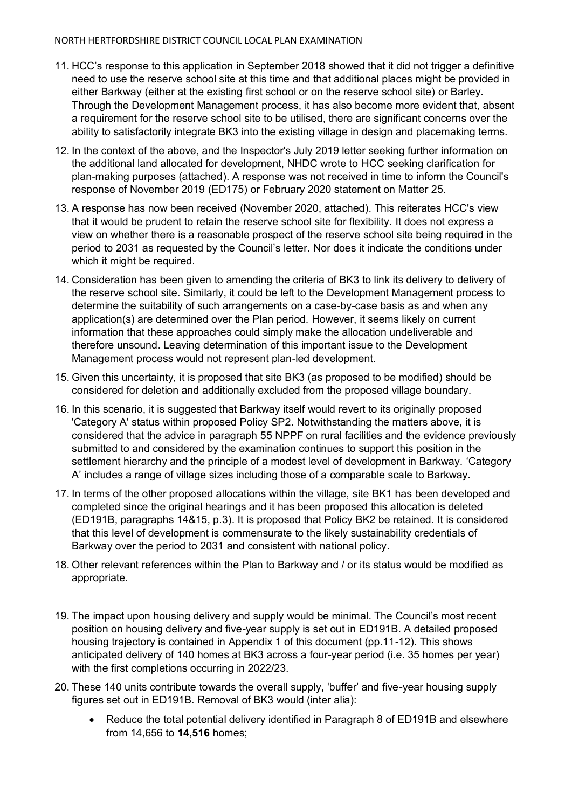## NORTH HERTFORDSHIRE DISTRICT COUNCIL LOCAL PLAN EXAMINATION

- 11. HCC's response to this application in September 2018 showed that it did not trigger a definitive need to use the reserve school site at this time and that additional places might be provided in either Barkway (either at the existing first school or on the reserve school site) or Barley. Through the Development Management process, it has also become more evident that, absent a requirement for the reserve school site to be utilised, there are significant concerns over the ability to satisfactorily integrate BK3 into the existing village in design and placemaking terms.
- 12. In the context of the above, and the Inspector's July 2019 letter seeking further information on the additional land allocated for development, NHDC wrote to HCC seeking clarification for plan-making purposes (attached). A response was not received in time to inform the Council's response of November 2019 (ED175) or February 2020 statement on Matter 25.
- 13. A response has now been received (November 2020, attached). This reiterates HCC's view that it would be prudent to retain the reserve school site for flexibility. It does not express a view on whether there is a reasonable prospect of the reserve school site being required in the period to 2031 as requested by the Council's letter. Nor does it indicate the conditions under which it might be required.
- 14. Consideration has been given to amending the criteria of BK3 to link its delivery to delivery of the reserve school site. Similarly, it could be left to the Development Management process to determine the suitability of such arrangements on a case-by-case basis as and when any application(s) are determined over the Plan period. However, it seems likely on current information that these approaches could simply make the allocation undeliverable and therefore unsound. Leaving determination of this important issue to the Development Management process would not represent plan-led development.
- 15. Given this uncertainty, it is proposed that site BK3 (as proposed to be modified) should be considered for deletion and additionally excluded from the proposed village boundary.
- 16. In this scenario, it is suggested that Barkway itself would revert to its originally proposed 'Category A' status within proposed Policy SP2. Notwithstanding the matters above, it is considered that the advice in paragraph 55 NPPF on rural facilities and the evidence previously submitted to and considered by the examination continues to support this position in the settlement hierarchy and the principle of a modest level of development in Barkway. 'Category A' includes a range of village sizes including those of a comparable scale to Barkway.
- 17. In terms of the other proposed allocations within the village, site BK1 has been developed and completed since the original hearings and it has been proposed this allocation is deleted (ED191B, paragraphs 14&15, p.3). It is proposed that Policy BK2 be retained. It is considered that this level of development is commensurate to the likely sustainability credentials of Barkway over the period to 2031 and consistent with national policy.
- 18. Other relevant references within the Plan to Barkway and / or its status would be modified as appropriate.
- 19. The impact upon housing delivery and supply would be minimal. The Council's most recent position on housing delivery and five-year supply is set out in ED191B. A detailed proposed housing trajectory is contained in Appendix 1 of this document (pp.11-12). This shows anticipated delivery of 140 homes at BK3 across a four-year period (i.e. 35 homes per year) with the first completions occurring in 2022/23.
- 20. These 140 units contribute towards the overall supply, 'buffer' and five-year housing supply figures set out in ED191B. Removal of BK3 would (inter alia):
	- Reduce the total potential delivery identified in Paragraph 8 of ED191B and elsewhere from 14,656 to **14,516** homes;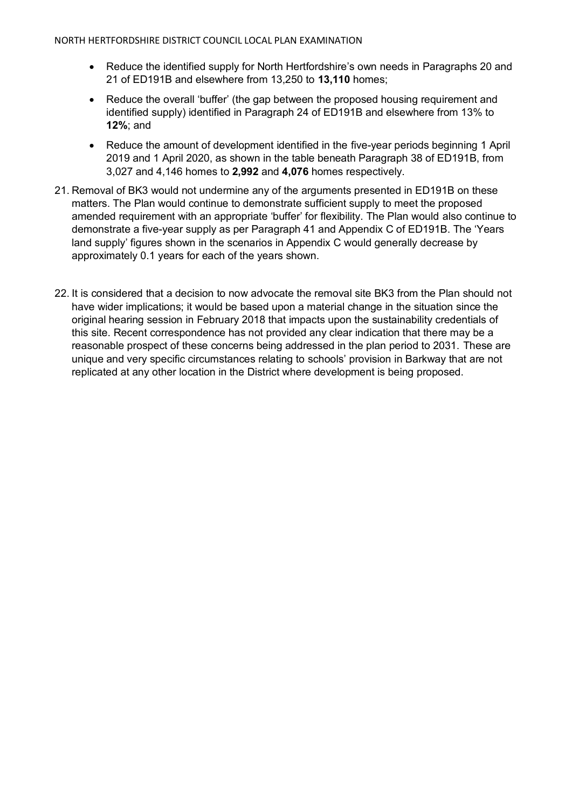- Reduce the identified supply for North Hertfordshire's own needs in Paragraphs 20 and 21 of ED191B and elsewhere from 13,250 to **13,110** homes;
- Reduce the overall 'buffer' (the gap between the proposed housing requirement and identified supply) identified in Paragraph 24 of ED191B and elsewhere from 13% to **12%**; and
- Reduce the amount of development identified in the five-year periods beginning 1 April 2019 and 1 April 2020, as shown in the table beneath Paragraph 38 of ED191B, from 3,027 and 4,146 homes to **2,992** and **4,076** homes respectively.
- 21. Removal of BK3 would not undermine any of the arguments presented in ED191B on these matters. The Plan would continue to demonstrate sufficient supply to meet the proposed amended requirement with an appropriate 'buffer' for flexibility. The Plan would also continue to demonstrate a five-year supply as per Paragraph 41 and Appendix C of ED191B. The 'Years land supply' figures shown in the scenarios in Appendix C would generally decrease by approximately 0.1 years for each of the years shown.
- 22. It is considered that a decision to now advocate the removal site BK3 from the Plan should not have wider implications; it would be based upon a material change in the situation since the original hearing session in February 2018 that impacts upon the sustainability credentials of this site. Recent correspondence has not provided any clear indication that there may be a reasonable prospect of these concerns being addressed in the plan period to 2031. These are unique and very specific circumstances relating to schools' provision in Barkway that are not replicated at any other location in the District where development is being proposed.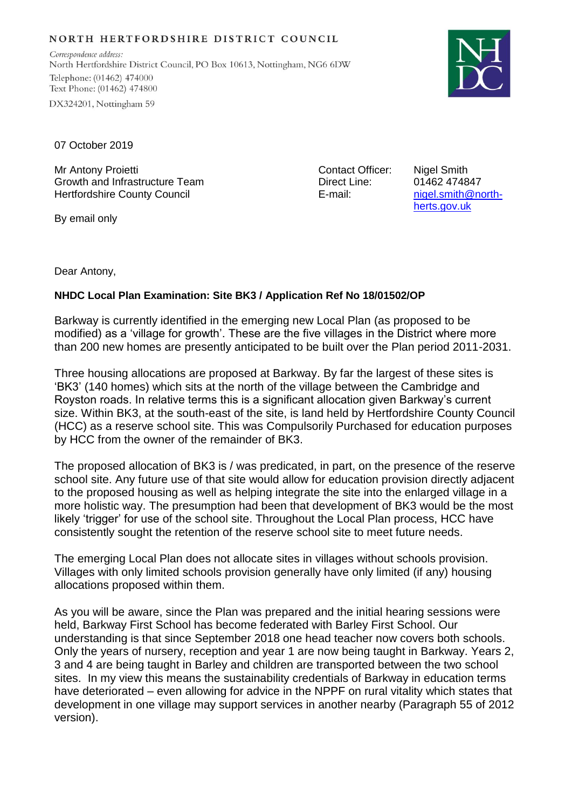## NORTH HERTFORDSHIRE DISTRICT COUNCIL

Correspondence address: North Hertfordshire District Council, PO Box 10613, Nottingham, NG6 6DW Telephone: (01462) 474000 Text Phone: (01462) 474800 DX324201, Nottingham 59



07 October 2019

Mr Antony Proietti Growth and Infrastructure Team Hertfordshire County Council

By email only

Contact Officer: Direct Line: E-mail:

Nigel Smith 01462 474847 [nigel.smith@north](mailto:nigel.smith@north-herts.gov.uk)[herts.gov.uk](mailto:nigel.smith@north-herts.gov.uk)

Dear Antony,

## **NHDC Local Plan Examination: Site BK3 / Application Ref No 18/01502/OP**

Barkway is currently identified in the emerging new Local Plan (as proposed to be modified) as a 'village for growth'. These are the five villages in the District where more than 200 new homes are presently anticipated to be built over the Plan period 2011-2031.

Three housing allocations are proposed at Barkway. By far the largest of these sites is 'BK3' (140 homes) which sits at the north of the village between the Cambridge and Royston roads. In relative terms this is a significant allocation given Barkway's current size. Within BK3, at the south-east of the site, is land held by Hertfordshire County Council (HCC) as a reserve school site. This was Compulsorily Purchased for education purposes by HCC from the owner of the remainder of BK3.

The proposed allocation of BK3 is / was predicated, in part, on the presence of the reserve school site. Any future use of that site would allow for education provision directly adjacent to the proposed housing as well as helping integrate the site into the enlarged village in a more holistic way. The presumption had been that development of BK3 would be the most likely 'trigger' for use of the school site. Throughout the Local Plan process, HCC have consistently sought the retention of the reserve school site to meet future needs.

The emerging Local Plan does not allocate sites in villages without schools provision. Villages with only limited schools provision generally have only limited (if any) housing allocations proposed within them.

As you will be aware, since the Plan was prepared and the initial hearing sessions were held, Barkway First School has become federated with Barley First School. Our understanding is that since September 2018 one head teacher now covers both schools. Only the years of nursery, reception and year 1 are now being taught in Barkway. Years 2, 3 and 4 are being taught in Barley and children are transported between the two school sites. In my view this means the sustainability credentials of Barkway in education terms have deteriorated – even allowing for advice in the NPPF on rural vitality which states that development in one village may support services in another nearby (Paragraph 55 of 2012 version).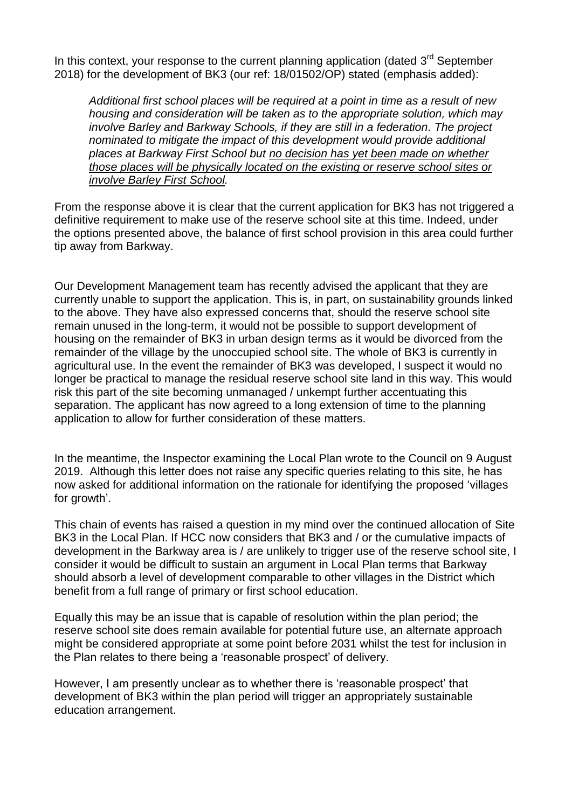In this context, your response to the current planning application (dated  $3<sup>rd</sup>$  September 2018) for the development of BK3 (our ref: 18/01502/OP) stated (emphasis added):

*Additional first school places will be required at a point in time as a result of new housing and consideration will be taken as to the appropriate solution, which may involve Barley and Barkway Schools, if they are still in a federation. The project nominated to mitigate the impact of this development would provide additional places at Barkway First School but no decision has yet been made on whether those places will be physically located on the existing or reserve school sites or involve Barley First School.*

From the response above it is clear that the current application for BK3 has not triggered a definitive requirement to make use of the reserve school site at this time. Indeed, under the options presented above, the balance of first school provision in this area could further tip away from Barkway.

Our Development Management team has recently advised the applicant that they are currently unable to support the application. This is, in part, on sustainability grounds linked to the above. They have also expressed concerns that, should the reserve school site remain unused in the long-term, it would not be possible to support development of housing on the remainder of BK3 in urban design terms as it would be divorced from the remainder of the village by the unoccupied school site. The whole of BK3 is currently in agricultural use. In the event the remainder of BK3 was developed, I suspect it would no longer be practical to manage the residual reserve school site land in this way. This would risk this part of the site becoming unmanaged / unkempt further accentuating this separation. The applicant has now agreed to a long extension of time to the planning application to allow for further consideration of these matters.

In the meantime, the Inspector examining the Local Plan wrote to the Council on 9 August 2019. Although this letter does not raise any specific queries relating to this site, he has now asked for additional information on the rationale for identifying the proposed 'villages for growth'.

This chain of events has raised a question in my mind over the continued allocation of Site BK3 in the Local Plan. If HCC now considers that BK3 and / or the cumulative impacts of development in the Barkway area is / are unlikely to trigger use of the reserve school site, I consider it would be difficult to sustain an argument in Local Plan terms that Barkway should absorb a level of development comparable to other villages in the District which benefit from a full range of primary or first school education.

Equally this may be an issue that is capable of resolution within the plan period; the reserve school site does remain available for potential future use, an alternate approach might be considered appropriate at some point before 2031 whilst the test for inclusion in the Plan relates to there being a 'reasonable prospect' of delivery.

However, I am presently unclear as to whether there is 'reasonable prospect' that development of BK3 within the plan period will trigger an appropriately sustainable education arrangement.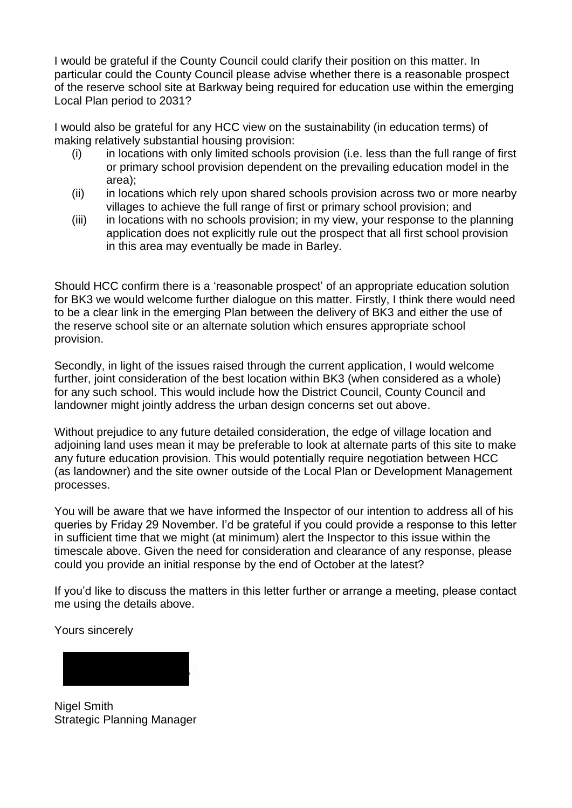I would be grateful if the County Council could clarify their position on this matter. In particular could the County Council please advise whether there is a reasonable prospect of the reserve school site at Barkway being required for education use within the emerging Local Plan period to 2031?

I would also be grateful for any HCC view on the sustainability (in education terms) of making relatively substantial housing provision:

- (i) in locations with only limited schools provision (i.e. less than the full range of first or primary school provision dependent on the prevailing education model in the area);
- (ii) in locations which rely upon shared schools provision across two or more nearby villages to achieve the full range of first or primary school provision; and
- (iii) in locations with no schools provision; in my view, your response to the planning application does not explicitly rule out the prospect that all first school provision in this area may eventually be made in Barley.

Should HCC confirm there is a 'reasonable prospect' of an appropriate education solution for BK3 we would welcome further dialogue on this matter. Firstly, I think there would need to be a clear link in the emerging Plan between the delivery of BK3 and either the use of the reserve school site or an alternate solution which ensures appropriate school provision.

Secondly, in light of the issues raised through the current application, I would welcome further, joint consideration of the best location within BK3 (when considered as a whole) for any such school. This would include how the District Council, County Council and landowner might jointly address the urban design concerns set out above.

Without prejudice to any future detailed consideration, the edge of village location and adjoining land uses mean it may be preferable to look at alternate parts of this site to make any future education provision. This would potentially require negotiation between HCC (as landowner) and the site owner outside of the Local Plan or Development Management processes.

You will be aware that we have informed the Inspector of our intention to address all of his queries by Friday 29 November. I'd be grateful if you could provide a response to this letter in sufficient time that we might (at minimum) alert the Inspector to this issue within the timescale above. Given the need for consideration and clearance of any response, please could you provide an initial response by the end of October at the latest?

If you'd like to discuss the matters in this letter further or arrange a meeting, please contact me using the details above.

Yours sincerely



Nigel Smith Strategic Planning Manager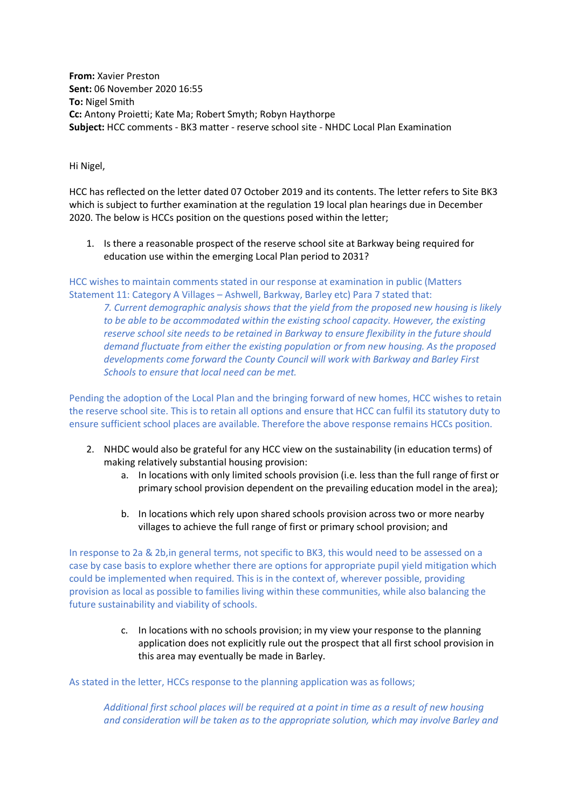**From:** Xavier Preston **Sent:** 06 November 2020 16:55 **To:** Nigel Smith **Cc:** Antony Proietti; Kate Ma; Robert Smyth; Robyn Haythorpe **Subject:** HCC comments - BK3 matter - reserve school site - NHDC Local Plan Examination

Hi Nigel,

HCC has reflected on the letter dated 07 October 2019 and its contents. The letter refers to Site BK3 which is subject to further examination at the regulation 19 local plan hearings due in December 2020. The below is HCCs position on the questions posed within the letter;

1. Is there a reasonable prospect of the reserve school site at Barkway being required for education use within the emerging Local Plan period to 2031?

HCC wishes to maintain comments stated in our response at examination in public (Matters Statement 11: Category A Villages – Ashwell, Barkway, Barley etc) Para 7 stated that:

*7. Current demographic analysis shows that the yield from the proposed new housing is likely to be able to be accommodated within the existing school capacity. However, the existing reserve school site needs to be retained in Barkway to ensure flexibility in the future should demand fluctuate from either the existing population or from new housing. As the proposed developments come forward the County Council will work with Barkway and Barley First Schools to ensure that local need can be met.*

Pending the adoption of the Local Plan and the bringing forward of new homes, HCC wishes to retain the reserve school site. This is to retain all options and ensure that HCC can fulfil its statutory duty to ensure sufficient school places are available. Therefore the above response remains HCCs position.

- 2. NHDC would also be grateful for any HCC view on the sustainability (in education terms) of making relatively substantial housing provision:
	- a. In locations with only limited schools provision (i.e. less than the full range of first or primary school provision dependent on the prevailing education model in the area);
	- b. In locations which rely upon shared schools provision across two or more nearby villages to achieve the full range of first or primary school provision; and

In response to 2a & 2b,in general terms, not specific to BK3, this would need to be assessed on a case by case basis to explore whether there are options for appropriate pupil yield mitigation which could be implemented when required. This is in the context of, wherever possible, providing provision as local as possible to families living within these communities, while also balancing the future sustainability and viability of schools.

> c. In locations with no schools provision; in my view your response to the planning application does not explicitly rule out the prospect that all first school provision in this area may eventually be made in Barley.

As stated in the letter, HCCs response to the planning application was as follows;

*Additional first school places will be required at a point in time as a result of new housing and consideration will be taken as to the appropriate solution, which may involve Barley and*